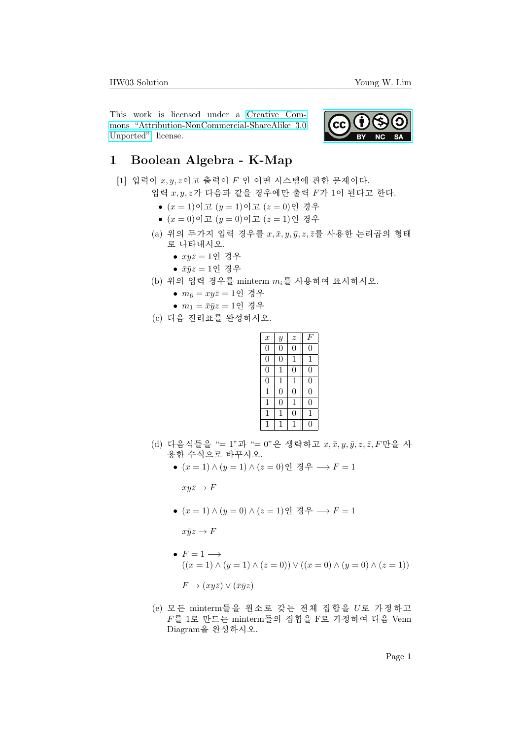This work is licensed under a [Creative Com](https://creativecommons.org/licenses/by-nc-sa/3.0/deed.en)[mons "Attribution-NonCommercial-ShareAlike 3.0](https://creativecommons.org/licenses/by-nc-sa/3.0/deed.en) [Unported"](https://creativecommons.org/licenses/by-nc-sa/3.0/deed.en) license.



## 1 Boolean Algebra - K-Map

 $[1]$  입력이  $x, y, z$ 이고 출력이  $F$  인 어떤 시스템에 관한 문제이다.

- 입력  $x, y, z$ 가 다음과 같을 경우에만 출력  $F$ 가 1이 된다고 한다.
	- $(x = 1)$ 이고  $(y = 1)$ 이고  $(z = 0)$ 인 경우
	- $(x = 0)$ 이고  $(y = 0)$ 이고  $(z = 1)$ 인 경우
	- (a) 위의 두가지 입력 경우를  $x, \bar{x}, y, \bar{y}, z, \bar{z}$ 를 사용한 논리곱의 형태 로 나타내시오.
		- $\bullet$   $xu\bar{z} = 1$ 인 경우
		- $\bar{x}\bar{y}z=1$ 인 경우
	- (b) 위의 입력 경우를 minterm  $m_i$ 를 사용하여 표시하시오.
		- $m_6 = xyz = 1$ 인 경우
		- $m_1 = \bar{x}\bar{y}z = 1$ 인 경우
	- (c) 다음 진리표를 완성하시오.

| $\boldsymbol{x}$ | $\boldsymbol{y}$ | $\boldsymbol{z}$ | $F^{\prime}$   |
|------------------|------------------|------------------|----------------|
| 0                | $\overline{0}$   | 0                | 0              |
| $\boldsymbol{0}$ | 0                | 1                | 1              |
| $\overline{0}$   | 1                | $\overline{0}$   | 0              |
| $\boldsymbol{0}$ | 1                | 1                | $\overline{0}$ |
| 1                | 0                | $\overline{0}$   | $\overline{0}$ |
| 1                | 0                | 1                | 0              |
| 1                | 1                | $\overline{0}$   | 1              |
| 1                | 1                | 1                | 0              |

- (d) 다음식들을 "= 1"과 "= 0"은 생략하고  $x, \bar{x}, y, \bar{y}, z, \bar{z}, F$ 만을 사 용한 수식으로 바꾸시오.
	- $(x = 1) \wedge (y = 1) \wedge (z = 0)$ 인 경우 →  $F = 1$

 $xyz \rightarrow F$ 

 $\bullet$   $(x = 1) \wedge (y = 0) \wedge (z = 1)$ 인 경우 →  $F = 1$ 

 $x\bar{y}z \to F$ 

- $F = 1 \longrightarrow$  $((x = 1) \land (y = 1) \land (z = 0)) \lor ((x = 0) \land (y = 0) \land (z = 1))$  $F \to (xy\bar{z}) \vee (\bar{x}\bar{y}z)$
- $(e)$  모든 minterm들을 원소로 갖는 전체 집합을 U로 가정하고  $F \equiv 1$ 로 만드는 minterm들의 집합을 F로 가정하여 다음 Venn Diagram을 완성하시오.

Page 1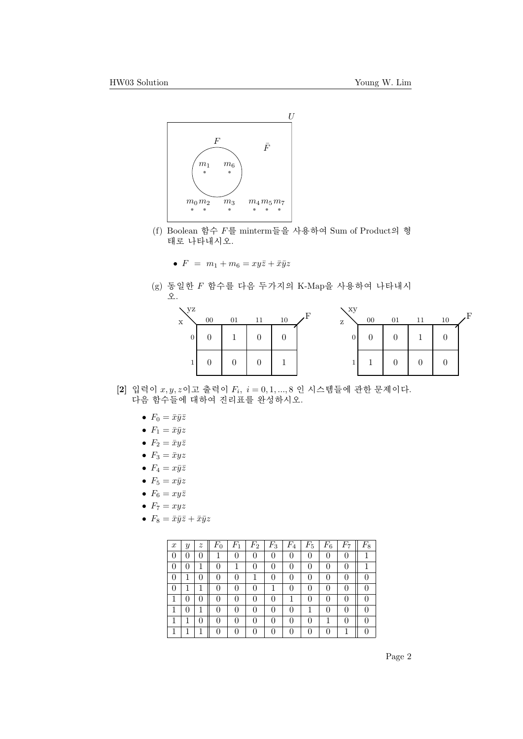

(f) Boolean 함수  $F \equiv$  minterm들을 사용하여 Sum of Product의 형 태로 나타내시오.

• 
$$
F = m_1 + m_6 = xy\overline{z} + \overline{x}\overline{y}z
$$

 $(g)$  동일한  $F$  함수를 다음 두가지의 K-Map을 사용하여 나타내시 오.



- $[2]$  입력이  $x, y, z$ 이고 출력이  $F_i$ ,  $i = 0, 1, ..., 8$  인 시스템들에 관한 문제이다. 다음 함수들에 대하여 진리표를 완성하시오.
	- $F_0 = \bar{x}\bar{y}\bar{z}$
	- $F_1 = \bar{x}\bar{y}z$
	- $F_2 = \bar{x}y\bar{z}$
	- $F_3 = \bar{x}yz$
	- $F_4 = x\bar{y}\bar{z}$
	- $F_5 = x\bar{y}z$
	- $F_6 = xy\overline{z}$
	- $F_7 = xyz$
	- $F_8 = \bar{x}\bar{y}\bar{z} + \bar{x}\bar{y}z$

| $\boldsymbol{x}$ | Y                | $\boldsymbol{z}$ | $F_{0}$      | $\scriptstyle F_1$ | $\scriptstyle F_2$ | $F_3$ | $F_4$            | $F_{5}$ | $\scriptstyle F_6$ | $F_7$        | $F_8$ |
|------------------|------------------|------------------|--------------|--------------------|--------------------|-------|------------------|---------|--------------------|--------------|-------|
| 0                | 0                | 0                |              | 0                  | 0                  | 0     |                  |         | 0                  | 0            |       |
| 0                |                  |                  |              |                    | 0                  | 0     |                  |         | U                  |              |       |
| 0                |                  | 0                |              | 0                  |                    | 0     | $\left( \right)$ |         | 0                  |              |       |
| 0                |                  |                  | 0            | 0                  | $\Omega$           |       | $\left( \right)$ |         | 0                  | 0            |       |
|                  | 0                | 0                | $\mathbf{0}$ | $\mathbf{0}$       | $\Omega$           | 0     |                  |         | $\mathbf{0}$       | $\mathbf{0}$ |       |
| 1                | $\left( \right)$ |                  | 0            | $\mathbf{0}$       | $\Omega$           | 0     | $\Omega$         |         | 0                  | 0            |       |
| 1                |                  | 0                |              | $\Omega$           | $\Omega$           | 0     |                  |         |                    |              |       |
| 1                |                  |                  |              |                    |                    | ⋂     |                  |         |                    |              |       |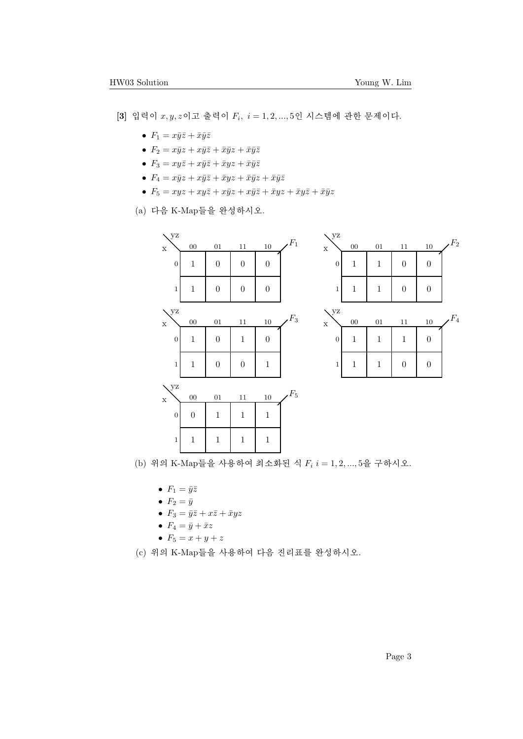$[3]$  입력이  $x, y, z$ 이고 출력이  $F_i$ ,  $i = 1, 2, ..., 5$ 인 시스템에 관한 문제이다.

- $F_1 = x\bar{y}\bar{z} + \bar{x}\bar{y}\bar{z}$
- $F_2 = x\bar{y}z + x\bar{y}\bar{z} + \bar{x}\bar{y}z + \bar{x}\bar{y}\bar{z}$
- $F_3 = xy\overline{z} + x\overline{y}\overline{z} + \overline{x}yz + \overline{x}\overline{y}\overline{z}$
- $F_4 = x\bar{y}z + x\bar{y}\bar{z} + \bar{x}yz + \bar{x}\bar{y}z + \bar{x}\bar{y}\bar{z}$
- $F_5 = xyz + xy\overline{z} + x\overline{y}z + x\overline{y}\overline{z} + \overline{x}yz + \overline{x}yz + \overline{x}\overline{y}z$
- $(a)$  다음 K-Map들을 완성하시오.



(b) 위의 K-Map들을 사용하여 최소화된 식  $F_i$   $i = 1, 2, ..., 5$ 을 구하시오.

- $F_1 = \bar{y}\bar{z}$
- $F_2 = \bar{y}$
- $F_3 = \bar{y}\bar{z} + x\bar{z} + \bar{x}yz$
- $F_4 = \bar{y} + \bar{x}z$
- $F_5 = x + y + z$
- $(c)$  위의 K-Map들을 사용하여 다음 진리표를 완성하시오.